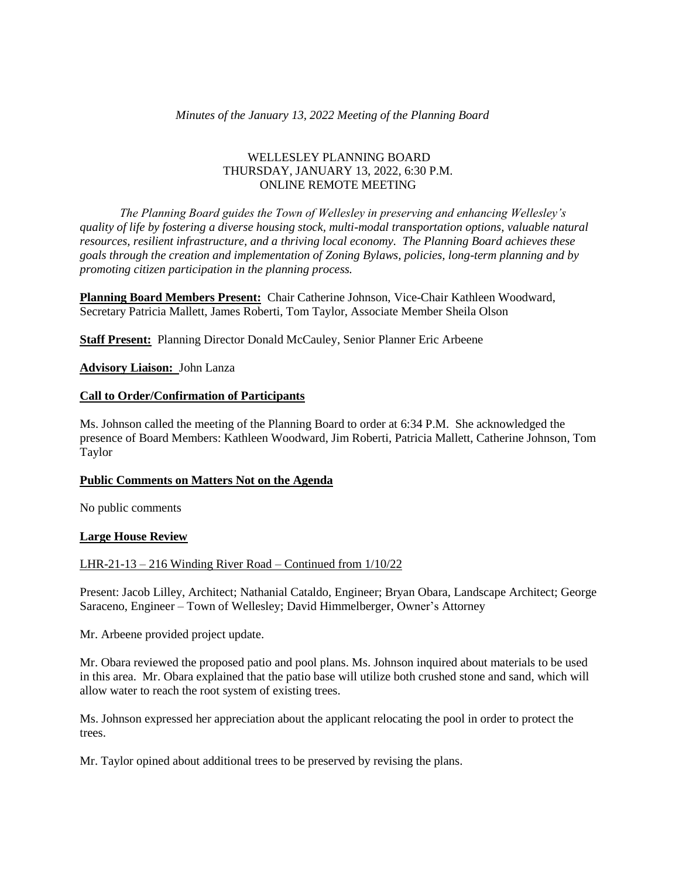### *Minutes of the January 13, 2022 Meeting of the Planning Board*

### WELLESLEY PLANNING BOARD THURSDAY, JANUARY 13, 2022, 6:30 P.M. ONLINE REMOTE MEETING

*The Planning Board guides the Town of Wellesley in preserving and enhancing Wellesley's quality of life by fostering a diverse housing stock, multi-modal transportation options, valuable natural resources, resilient infrastructure, and a thriving local economy. The Planning Board achieves these goals through the creation and implementation of Zoning Bylaws, policies, long-term planning and by promoting citizen participation in the planning process.*

**Planning Board Members Present:** Chair Catherine Johnson, Vice-Chair Kathleen Woodward, Secretary Patricia Mallett, James Roberti, Tom Taylor, Associate Member Sheila Olson

**Staff Present:** Planning Director Donald McCauley, Senior Planner Eric Arbeene

**Advisory Liaison:** John Lanza

### **Call to Order/Confirmation of Participants**

Ms. Johnson called the meeting of the Planning Board to order at 6:34 P.M. She acknowledged the presence of Board Members: Kathleen Woodward, Jim Roberti, Patricia Mallett, Catherine Johnson, Tom Taylor

#### **Public Comments on Matters Not on the Agenda**

No public comments

# **Large House Review**

# LHR-21-13 – 216 Winding River Road – Continued from 1/10/22

Present: Jacob Lilley, Architect; Nathanial Cataldo, Engineer; Bryan Obara, Landscape Architect; George Saraceno, Engineer – Town of Wellesley; David Himmelberger, Owner's Attorney

Mr. Arbeene provided project update.

Mr. Obara reviewed the proposed patio and pool plans. Ms. Johnson inquired about materials to be used in this area. Mr. Obara explained that the patio base will utilize both crushed stone and sand, which will allow water to reach the root system of existing trees.

Ms. Johnson expressed her appreciation about the applicant relocating the pool in order to protect the trees.

Mr. Taylor opined about additional trees to be preserved by revising the plans.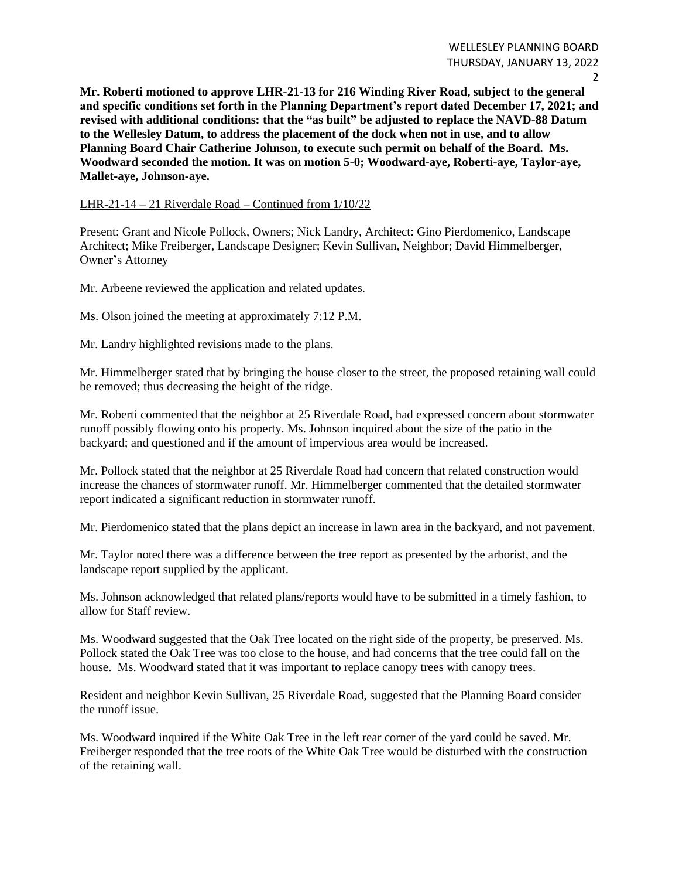**Mr. Roberti motioned to approve LHR-21-13 for 216 Winding River Road, subject to the general and specific conditions set forth in the Planning Department's report dated December 17, 2021; and revised with additional conditions: that the "as built" be adjusted to replace the NAVD-88 Datum to the Wellesley Datum, to address the placement of the dock when not in use, and to allow Planning Board Chair Catherine Johnson, to execute such permit on behalf of the Board. Ms. Woodward seconded the motion. It was on motion 5-0; Woodward-aye, Roberti-aye, Taylor-aye, Mallet-aye, Johnson-aye.**

LHR-21-14 – 21 Riverdale Road – Continued from 1/10/22

Present: Grant and Nicole Pollock, Owners; Nick Landry, Architect: Gino Pierdomenico, Landscape Architect; Mike Freiberger, Landscape Designer; Kevin Sullivan, Neighbor; David Himmelberger, Owner's Attorney

Mr. Arbeene reviewed the application and related updates.

Ms. Olson joined the meeting at approximately 7:12 P.M.

Mr. Landry highlighted revisions made to the plans.

Mr. Himmelberger stated that by bringing the house closer to the street, the proposed retaining wall could be removed; thus decreasing the height of the ridge.

Mr. Roberti commented that the neighbor at 25 Riverdale Road, had expressed concern about stormwater runoff possibly flowing onto his property. Ms. Johnson inquired about the size of the patio in the backyard; and questioned and if the amount of impervious area would be increased.

Mr. Pollock stated that the neighbor at 25 Riverdale Road had concern that related construction would increase the chances of stormwater runoff. Mr. Himmelberger commented that the detailed stormwater report indicated a significant reduction in stormwater runoff.

Mr. Pierdomenico stated that the plans depict an increase in lawn area in the backyard, and not pavement.

Mr. Taylor noted there was a difference between the tree report as presented by the arborist, and the landscape report supplied by the applicant.

Ms. Johnson acknowledged that related plans/reports would have to be submitted in a timely fashion, to allow for Staff review.

Ms. Woodward suggested that the Oak Tree located on the right side of the property, be preserved. Ms. Pollock stated the Oak Tree was too close to the house, and had concerns that the tree could fall on the house. Ms. Woodward stated that it was important to replace canopy trees with canopy trees.

Resident and neighbor Kevin Sullivan, 25 Riverdale Road, suggested that the Planning Board consider the runoff issue.

Ms. Woodward inquired if the White Oak Tree in the left rear corner of the yard could be saved. Mr. Freiberger responded that the tree roots of the White Oak Tree would be disturbed with the construction of the retaining wall.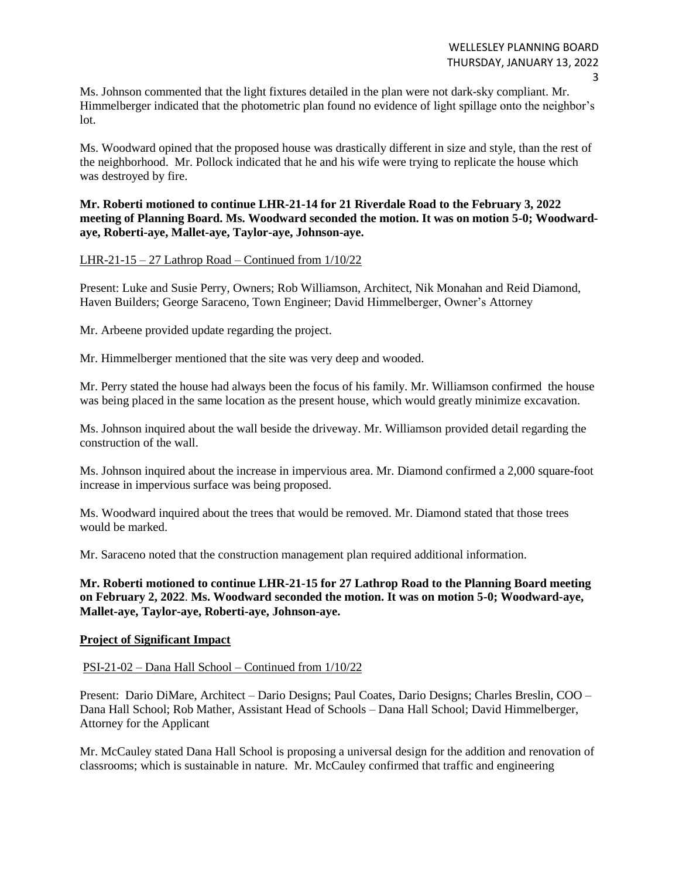Ms. Johnson commented that the light fixtures detailed in the plan were not dark-sky compliant. Mr. Himmelberger indicated that the photometric plan found no evidence of light spillage onto the neighbor's lot.

Ms. Woodward opined that the proposed house was drastically different in size and style, than the rest of the neighborhood. Mr. Pollock indicated that he and his wife were trying to replicate the house which was destroyed by fire.

# **Mr. Roberti motioned to continue LHR-21-14 for 21 Riverdale Road to the February 3, 2022 meeting of Planning Board. Ms. Woodward seconded the motion. It was on motion 5-0; Woodwardaye, Roberti-aye, Mallet-aye, Taylor-aye, Johnson-aye.**

# LHR-21-15 – 27 Lathrop Road – Continued from  $1/10/22$

Present: Luke and Susie Perry, Owners; Rob Williamson, Architect, Nik Monahan and Reid Diamond, Haven Builders; George Saraceno, Town Engineer; David Himmelberger, Owner's Attorney

Mr. Arbeene provided update regarding the project.

Mr. Himmelberger mentioned that the site was very deep and wooded.

Mr. Perry stated the house had always been the focus of his family. Mr. Williamson confirmed the house was being placed in the same location as the present house, which would greatly minimize excavation.

Ms. Johnson inquired about the wall beside the driveway. Mr. Williamson provided detail regarding the construction of the wall.

Ms. Johnson inquired about the increase in impervious area. Mr. Diamond confirmed a 2,000 square-foot increase in impervious surface was being proposed.

Ms. Woodward inquired about the trees that would be removed. Mr. Diamond stated that those trees would be marked.

Mr. Saraceno noted that the construction management plan required additional information.

**Mr. Roberti motioned to continue LHR-21-15 for 27 Lathrop Road to the Planning Board meeting on February 2, 2022**. **Ms. Woodward seconded the motion. It was on motion 5-0; Woodward-aye, Mallet-aye, Taylor-aye, Roberti-aye, Johnson-aye.**

#### **Project of Significant Impact**

#### PSI-21-02 – Dana Hall School – Continued from 1/10/22

Present: Dario DiMare, Architect – Dario Designs; Paul Coates, Dario Designs; Charles Breslin, COO – Dana Hall School; Rob Mather, Assistant Head of Schools – Dana Hall School; David Himmelberger, Attorney for the Applicant

Mr. McCauley stated Dana Hall School is proposing a universal design for the addition and renovation of classrooms; which is sustainable in nature. Mr. McCauley confirmed that traffic and engineering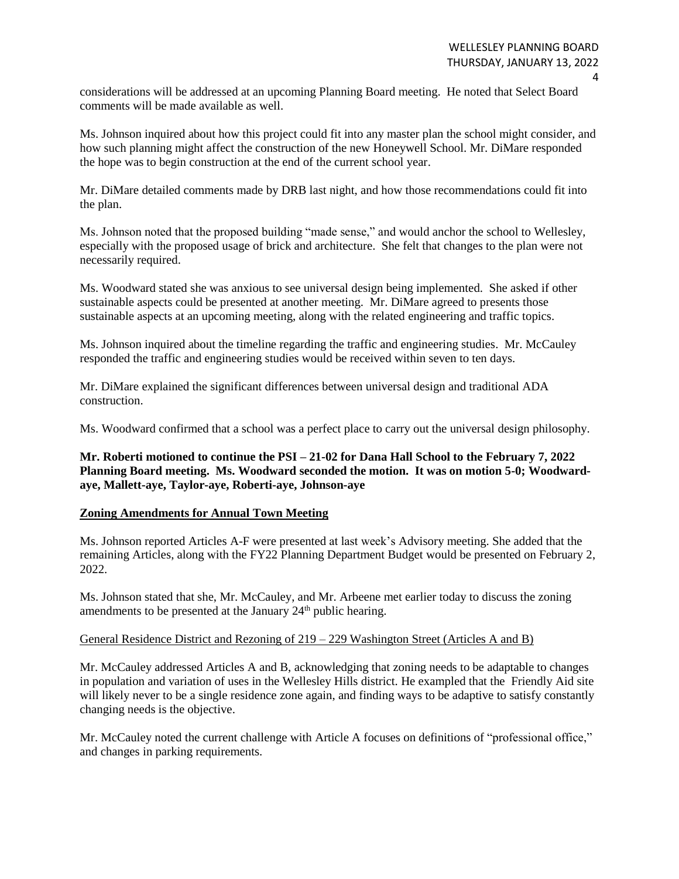considerations will be addressed at an upcoming Planning Board meeting. He noted that Select Board comments will be made available as well.

Ms. Johnson inquired about how this project could fit into any master plan the school might consider, and how such planning might affect the construction of the new Honeywell School. Mr. DiMare responded the hope was to begin construction at the end of the current school year.

Mr. DiMare detailed comments made by DRB last night, and how those recommendations could fit into the plan.

Ms. Johnson noted that the proposed building "made sense," and would anchor the school to Wellesley, especially with the proposed usage of brick and architecture. She felt that changes to the plan were not necessarily required.

Ms. Woodward stated she was anxious to see universal design being implemented. She asked if other sustainable aspects could be presented at another meeting. Mr. DiMare agreed to presents those sustainable aspects at an upcoming meeting, along with the related engineering and traffic topics.

Ms. Johnson inquired about the timeline regarding the traffic and engineering studies. Mr. McCauley responded the traffic and engineering studies would be received within seven to ten days.

Mr. DiMare explained the significant differences between universal design and traditional ADA construction.

Ms. Woodward confirmed that a school was a perfect place to carry out the universal design philosophy.

**Mr. Roberti motioned to continue the PSI – 21-02 for Dana Hall School to the February 7, 2022 Planning Board meeting. Ms. Woodward seconded the motion. It was on motion 5-0; Woodwardaye, Mallett-aye, Taylor-aye, Roberti-aye, Johnson-aye**

# **Zoning Amendments for Annual Town Meeting**

Ms. Johnson reported Articles A-F were presented at last week's Advisory meeting. She added that the remaining Articles, along with the FY22 Planning Department Budget would be presented on February 2, 2022.

Ms. Johnson stated that she, Mr. McCauley, and Mr. Arbeene met earlier today to discuss the zoning amendments to be presented at the January 24<sup>th</sup> public hearing.

# General Residence District and Rezoning of 219 – 229 Washington Street (Articles A and B)

Mr. McCauley addressed Articles A and B, acknowledging that zoning needs to be adaptable to changes in population and variation of uses in the Wellesley Hills district. He exampled that the Friendly Aid site will likely never to be a single residence zone again, and finding ways to be adaptive to satisfy constantly changing needs is the objective.

Mr. McCauley noted the current challenge with Article A focuses on definitions of "professional office," and changes in parking requirements.